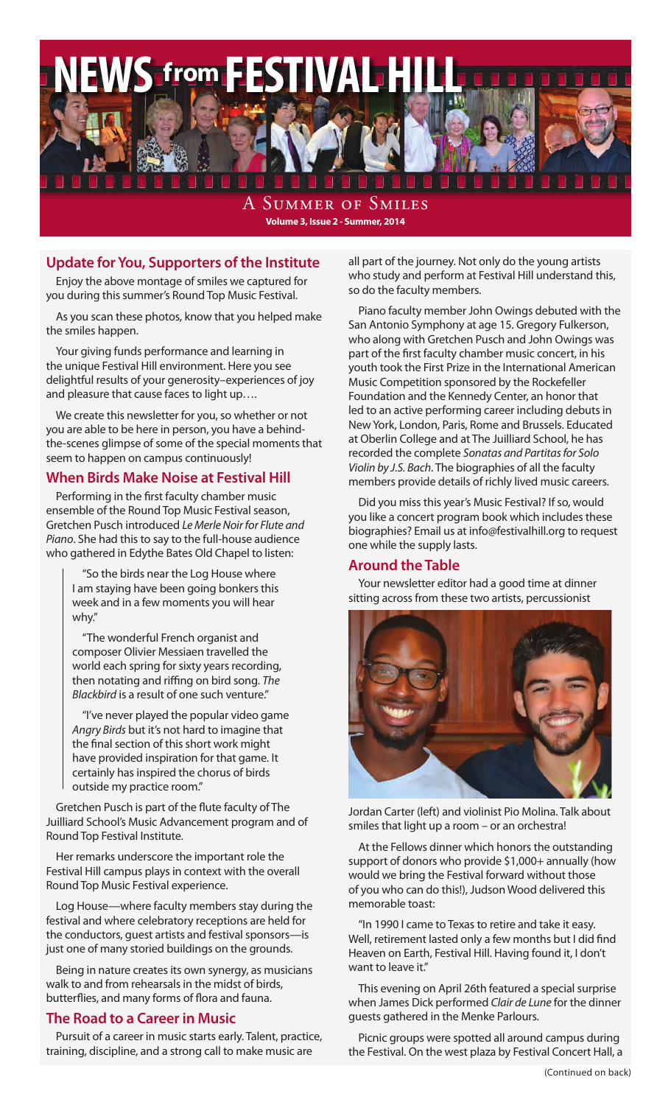

SUMMER OF SMILES **Volume 3, Issue 2 - Summer, 2014**

### **Update for You, Supporters of the Institute**

Enjoy the above montage of smiles we captured for you during this summer's Round Top Music Festival.

As you scan these photos, know that you helped make the smiles happen.

Your giving funds performance and learning in the unique Festival Hill environment. Here you see delightful results of your generosity–experiences of joy and pleasure that cause faces to light up….

We create this newsletter for you, so whether or not you are able to be here in person, you have a behindthe-scenes glimpse of some of the special moments that seem to happen on campus continuously!

#### **When Birds Make Noise at Festival Hill**

Performing in the first faculty chamber music ensemble of the Round Top Music Festival season, Gretchen Pusch introduced *Le Merle Noir for Flute and Piano*. She had this to say to the full-house audience who gathered in Edythe Bates Old Chapel to listen:

"So the birds near the Log House where I am staying have been going bonkers this week and in a few moments you will hear why."

"The wonderful French organist and composer Olivier Messiaen travelled the world each spring for sixty years recording, then notating and riffing on bird song. *The Blackbird* is a result of one such venture."

"I've never played the popular video game *Angry Birds* but it's not hard to imagine that the final section of this short work might have provided inspiration for that game. It certainly has inspired the chorus of birds outside my practice room."

Gretchen Pusch is part of the flute faculty of The Juilliard School's Music Advancement program and of Round Top Festival Institute.

Her remarks underscore the important role the Festival Hill campus plays in context with the overall Round Top Music Festival experience.

Log House—where faculty members stay during the festival and where celebratory receptions are held for the conductors, guest artists and festival sponsors—is just one of many storied buildings on the grounds.

Being in nature creates its own synergy, as musicians walk to and from rehearsals in the midst of birds, butterflies, and many forms of flora and fauna.

### **The Road to a Career in Music**

Pursuit of a career in music starts early. Talent, practice, training, discipline, and a strong call to make music are

all part of the journey. Not only do the young artists who study and perform at Festival Hill understand this, so do the faculty members.

Piano faculty member John Owings debuted with the San Antonio Symphony at age 15. Gregory Fulkerson, who along with Gretchen Pusch and John Owings was part of the first faculty chamber music concert, in his youth took the First Prize in the International American Music Competition sponsored by the Rockefeller Foundation and the Kennedy Center, an honor that led to an active performing career including debuts in New York, London, Paris, Rome and Brussels. Educated at Oberlin College and at The Juilliard School, he has recorded the complete *Sonatas and Partitas for Solo Violin by J.S. Bach*. The biographies of all the faculty members provide details of richly lived music careers.

Did you miss this year's Music Festival? If so, would you like a concert program book which includes these biographies? Email us at info@festivalhill.org to request one while the supply lasts.

### **Around the Table**

Your newsletter editor had a good time at dinner sitting across from these two artists, percussionist



Jordan Carter (left) and violinist Pio Molina. Talk about smiles that light up a room – or an orchestra!

At the Fellows dinner which honors the outstanding support of donors who provide \$1,000+ annually (how would we bring the Festival forward without those of you who can do this!), Judson Wood delivered this memorable toast:

"In 1990 I came to Texas to retire and take it easy. Well, retirement lasted only a few months but I did find Heaven on Earth, Festival Hill. Having found it, I don't want to leave it."

This evening on April 26th featured a special surprise when James Dick performed *Clair de Lune* for the dinner guests gathered in the Menke Parlours.

Picnic groups were spotted all around campus during the Festival. On the west plaza by Festival Concert Hall, a